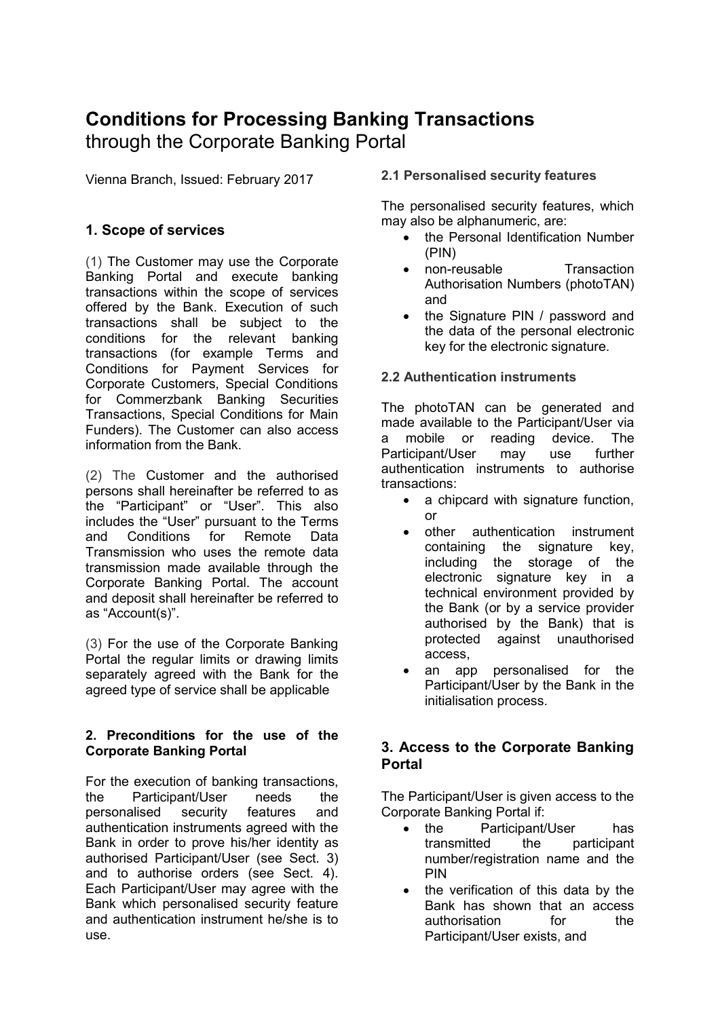# **Conditions for Processing Banking Transactions**  through the Corporate Banking Portal

Vienna Branch, Issued: February 2017

# **1. Scope of services**

(1) The Customer may use the Corporate Banking Portal and execute banking transactions within the scope of services offered by the Bank. Execution of such transactions shall be subject to the conditions for the relevant banking transactions (for example Terms and Conditions for Payment Services for Corporate Customers, Special Conditions for Commerzbank Banking Securities Transactions, Special Conditions for Main Funders). The Customer can also access information from the Bank.

(2) The Customer and the authorised persons shall hereinafter be referred to as the "Participant" or "User". This also includes the "User" pursuant to the Terms and Conditions for Remote Data Transmission who uses the remote data transmission made available through the Corporate Banking Portal. The account and deposit shall hereinafter be referred to as "Account(s)".

(3) For the use of the Corporate Banking Portal the regular limits or drawing limits separately agreed with the Bank for the agreed type of service shall be applicable

### **2. Preconditions for the use of the Corporate Banking Portal**

For the execution of banking transactions, the Participant/User needs the personalised security features and authentication instruments agreed with the Bank in order to prove his/her identity as authorised Participant/User (see Sect. 3) and to authorise orders (see Sect. 4). Each Participant/User may agree with the Bank which personalised security feature and authentication instrument he/she is to use.

# **2.1 Personalised security features**

The personalised security features, which may also be alphanumeric, are:

- the Personal Identification Number (PIN)
- non-reusable Transaction Authorisation Numbers (photoTAN) and
- the Signature PIN / password and the data of the personal electronic key for the electronic signature.

# **2.2 Authentication instruments**

The photoTAN can be generated and made available to the Participant/User via a mobile or reading device. The Participant/User may use further authentication instruments to authorise transactions:

- a chipcard with signature function, or
- other authentication instrument containing the signature key, including the storage of the electronic signature key in a technical environment provided by the Bank (or by a service provider authorised by the Bank) that is protected against unauthorised access,
- an app personalised for the Participant/User by the Bank in the initialisation process.

# **3. Access to the Corporate Banking Portal**

The Participant/User is given access to the Corporate Banking Portal if:

- the Participant/User has transmitted the participant number/registration name and the PIN
- the verification of this data by the Bank has shown that an access authorisation for the Participant/User exists, and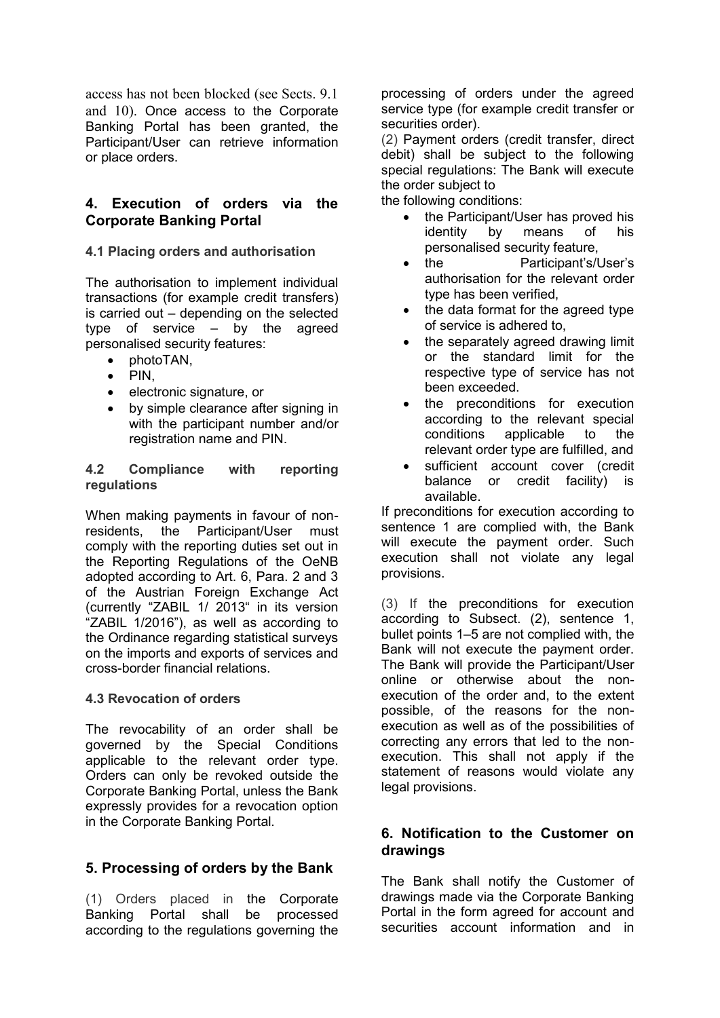access has not been blocked (see Sects. 9.1 and 10). Once access to the Corporate Banking Portal has been granted, the Participant/User can retrieve information or place orders.

# **4. Execution of orders via the Corporate Banking Portal**

# **4.1 Placing orders and authorisation**

The authorisation to implement individual transactions (for example credit transfers) is carried out – depending on the selected type of service – by the agreed personalised security features:

- photoTAN,
- $\bullet$  PIN.
- electronic signature, or
- by simple clearance after signing in with the participant number and/or registration name and PIN.

#### **4.2 Compliance with reporting regulations**

When making payments in favour of nonresidents, the Participant/User must comply with the reporting duties set out in the Reporting Regulations of the OeNB adopted according to Art. 6, Para. 2 and 3 of the Austrian Foreign Exchange Act (currently "ZABIL 1/ 2013" in its version "ZABIL 1/2016"), as well as according to the Ordinance regarding statistical surveys on the imports and exports of services and cross-border financial relations.

### **4.3 Revocation of orders**

The revocability of an order shall be governed by the Special Conditions applicable to the relevant order type. Orders can only be revoked outside the Corporate Banking Portal, unless the Bank expressly provides for a revocation option in the Corporate Banking Portal.

# **5. Processing of orders by the Bank**

(1) Orders placed in the Corporate Banking Portal shall be processed according to the regulations governing the processing of orders under the agreed service type (for example credit transfer or securities order).

(2) Payment orders (credit transfer, direct debit) shall be subject to the following special regulations: The Bank will execute the order subject to

the following conditions:

- the Participant/User has proved his identity by means of his personalised security feature,
- the Participant's/User's authorisation for the relevant order type has been verified,
- the data format for the agreed type of service is adhered to,
- the separately agreed drawing limit or the standard limit for the respective type of service has not been exceeded.
- the preconditions for execution according to the relevant special conditions applicable to the relevant order type are fulfilled, and
- sufficient account cover (credit balance or credit facility) is available.

If preconditions for execution according to sentence 1 are complied with, the Bank will execute the payment order. Such execution shall not violate any legal provisions.

(3) If the preconditions for execution according to Subsect. (2), sentence 1, bullet points 1–5 are not complied with, the Bank will not execute the payment order. The Bank will provide the Participant/User online or otherwise about the nonexecution of the order and, to the extent possible, of the reasons for the nonexecution as well as of the possibilities of correcting any errors that led to the nonexecution. This shall not apply if the statement of reasons would violate any legal provisions.

# **6. Notification to the Customer on drawings**

The Bank shall notify the Customer of drawings made via the Corporate Banking Portal in the form agreed for account and securities account information and in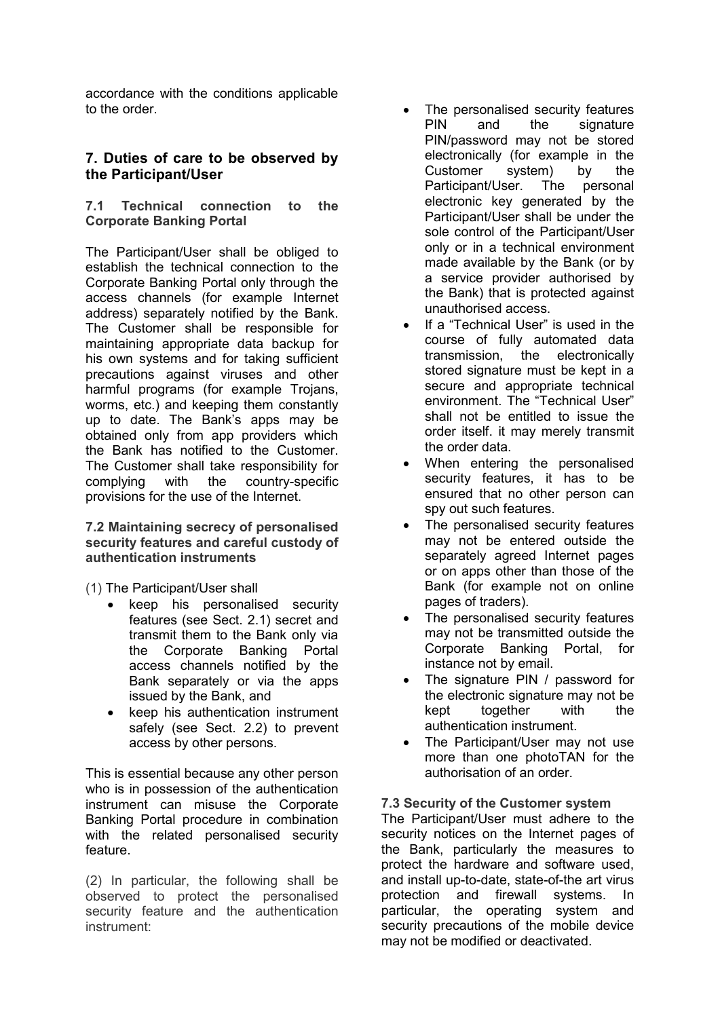accordance with the conditions applicable to the order.

# **7. Duties of care to be observed by the Participant/User**

### **7.1 Technical connection to the Corporate Banking Portal**

The Participant/User shall be obliged to establish the technical connection to the Corporate Banking Portal only through the access channels (for example Internet address) separately notified by the Bank. The Customer shall be responsible for maintaining appropriate data backup for his own systems and for taking sufficient precautions against viruses and other harmful programs (for example Trojans, worms, etc.) and keeping them constantly up to date. The Bank's apps may be obtained only from app providers which the Bank has notified to the Customer. The Customer shall take responsibility for complying with the country-specific provisions for the use of the Internet.

**7.2 Maintaining secrecy of personalised security features and careful custody of authentication instruments**

### (1) The Participant/User shall

- keep his personalised security features (see Sect. 2.1) secret and transmit them to the Bank only via the Corporate Banking Portal access channels notified by the Bank separately or via the apps issued by the Bank, and
- keep his authentication instrument safely (see Sect. 2.2) to prevent access by other persons.

This is essential because any other person who is in possession of the authentication instrument can misuse the Corporate Banking Portal procedure in combination with the related personalised security feature.

(2) In particular, the following shall be observed to protect the personalised security feature and the authentication instrument:

- The personalised security features PIN and the signature PIN/password may not be stored electronically (for example in the Customer system) by the Participant/User. The personal electronic key generated by the Participant/User shall be under the sole control of the Participant/User only or in a technical environment made available by the Bank (or by a service provider authorised by the Bank) that is protected against unauthorised access.
- If a "Technical User" is used in the course of fully automated data transmission, the electronically stored signature must be kept in a secure and appropriate technical environment. The "Technical User" shall not be entitled to issue the order itself. it may merely transmit the order data.
- When entering the personalised security features, it has to be ensured that no other person can spy out such features.
- The personalised security features may not be entered outside the separately agreed Internet pages or on apps other than those of the Bank (for example not on online pages of traders).
- The personalised security features may not be transmitted outside the Corporate Banking Portal, for instance not by email.
- The signature PIN / password for the electronic signature may not be kept together with the authentication instrument.
- The Participant/User may not use more than one photoTAN for the authorisation of an order.

### **7.3 Security of the Customer system**

The Participant/User must adhere to the security notices on the Internet pages of the Bank, particularly the measures to protect the hardware and software used, and install up-to-date, state-of-the art virus protection and firewall systems. In particular, the operating system and security precautions of the mobile device may not be modified or deactivated.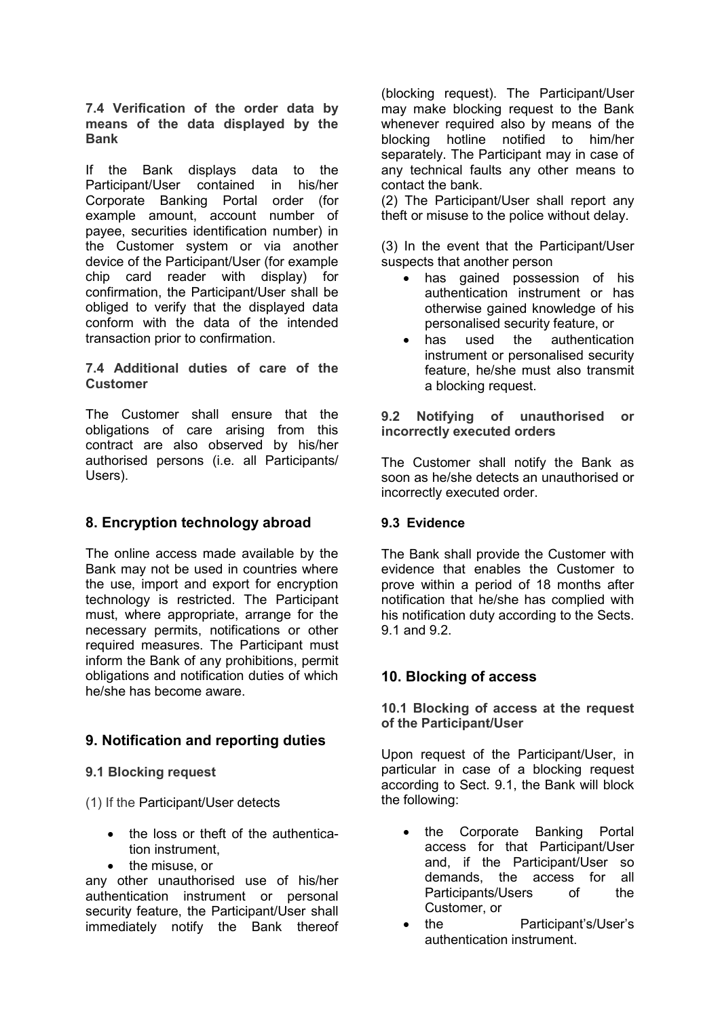**7.4 Verification of the order data by means of the data displayed by the Bank**

If the Bank displays data to the Participant/User contained in his/her Corporate Banking Portal order (for example amount, account number of payee, securities identification number) in the Customer system or via another device of the Participant/User (for example chip card reader with display) for confirmation, the Participant/User shall be obliged to verify that the displayed data conform with the data of the intended transaction prior to confirmation.

### **7.4 Additional duties of care of the Customer**

The Customer shall ensure that the obligations of care arising from this contract are also observed by his/her authorised persons (i.e. all Participants/ Users).

# **8. Encryption technology abroad**

The online access made available by the Bank may not be used in countries where the use, import and export for encryption technology is restricted. The Participant must, where appropriate, arrange for the necessary permits, notifications or other required measures. The Participant must inform the Bank of any prohibitions, permit obligations and notification duties of which he/she has become aware.

# **9. Notification and reporting duties**

### **9.1 Blocking request**

(1) If the Participant/User detects

- the loss or theft of the authentication instrument,
- the misuse, or

any other unauthorised use of his/her authentication instrument or personal security feature, the Participant/User shall immediately notify the Bank thereof (blocking request). The Participant/User may make blocking request to the Bank whenever required also by means of the blocking hotline notified to him/her separately. The Participant may in case of any technical faults any other means to contact the bank.

(2) The Participant/User shall report any theft or misuse to the police without delay.

(3) In the event that the Participant/User suspects that another person

- has gained possession of his authentication instrument or has otherwise gained knowledge of his personalised security feature, or
- has used the authentication instrument or personalised security feature, he/she must also transmit a blocking request.

**9.2 Notifying of unauthorised or incorrectly executed orders**

The Customer shall notify the Bank as soon as he/she detects an unauthorised or incorrectly executed order.

# **9.3 Evidence**

The Bank shall provide the Customer with evidence that enables the Customer to prove within a period of 18 months after notification that he/she has complied with his notification duty according to the Sects. 9.1 and 9.2.

# **10. Blocking of access**

### **10.1 Blocking of access at the request of the Participant/User**

Upon request of the Participant/User, in particular in case of a blocking request according to Sect. 9.1, the Bank will block the following:

- the Corporate Banking Portal access for that Participant/User and, if the Participant/User so demands, the access for all Participants/Users of the Customer, or
- the Participant's/User's authentication instrument.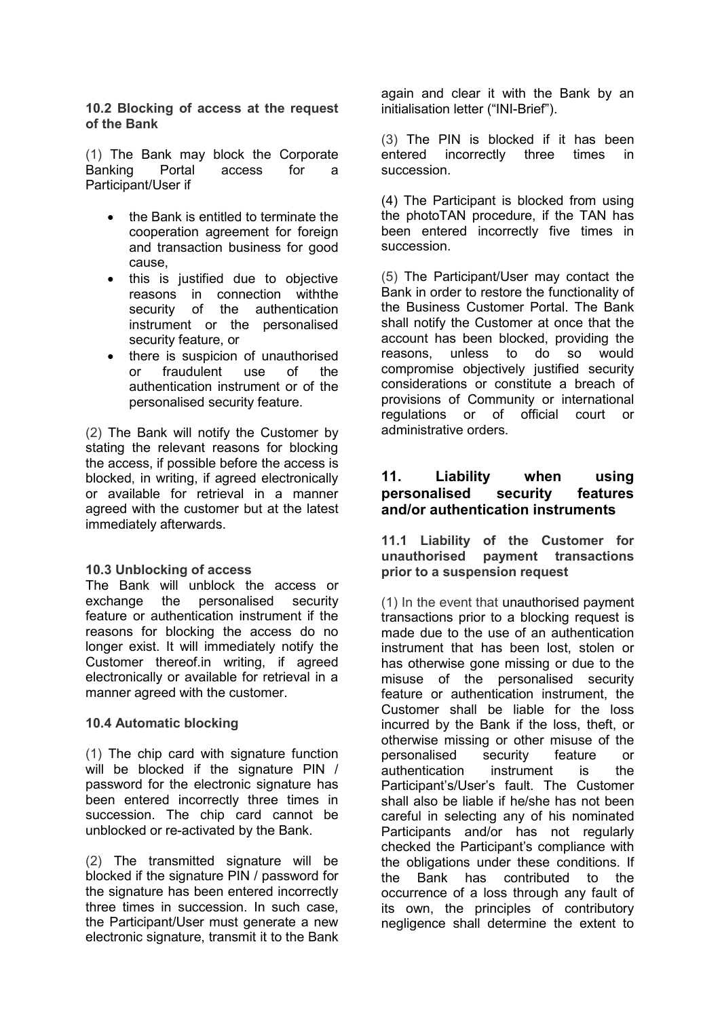**10.2 Blocking of access at the request of the Bank**

(1) The Bank may block the Corporate Banking Portal access for a Participant/User if

- the Bank is entitled to terminate the cooperation agreement for foreign and transaction business for good cause,
- this is justified due to objective reasons in connection withthe security of the authentication instrument or the personalised security feature, or
- there is suspicion of unauthorised or fraudulent use of the authentication instrument or of the personalised security feature.

(2) The Bank will notify the Customer by stating the relevant reasons for blocking the access, if possible before the access is blocked, in writing, if agreed electronically or available for retrieval in a manner agreed with the customer but at the latest immediately afterwards.

#### **10.3 Unblocking of access**

The Bank will unblock the access or exchange the personalised security feature or authentication instrument if the reasons for blocking the access do no longer exist. It will immediately notify the Customer thereof.in writing, if agreed electronically or available for retrieval in a manner agreed with the customer.

### **10.4 Automatic blocking**

(1) The chip card with signature function will be blocked if the signature PIN / password for the electronic signature has been entered incorrectly three times in succession. The chip card cannot be unblocked or re-activated by the Bank.

(2) The transmitted signature will be blocked if the signature PIN / password for the signature has been entered incorrectly three times in succession. In such case, the Participant/User must generate a new electronic signature, transmit it to the Bank again and clear it with the Bank by an initialisation letter ("INI-Brief").

(3) The PIN is blocked if it has been entered incorrectly three times in succession.

(4) The Participant is blocked from using the photoTAN procedure, if the TAN has been entered incorrectly five times in succession.

(5) The Participant/User may contact the Bank in order to restore the functionality of the Business Customer Portal. The Bank shall notify the Customer at once that the account has been blocked, providing the reasons, unless to do so would compromise objectively justified security considerations or constitute a breach of provisions of Community or international regulations or of official court or administrative orders.

### **11. Liability when using personalised security features and/or authentication instruments**

**11.1 Liability of the Customer for unauthorised payment transactions prior to a suspension request**

(1) In the event that unauthorised payment transactions prior to a blocking request is made due to the use of an authentication instrument that has been lost, stolen or has otherwise gone missing or due to the misuse of the personalised security feature or authentication instrument, the Customer shall be liable for the loss incurred by the Bank if the loss, theft, or otherwise missing or other misuse of the personalised security feature or authentication instrument is the Participant's/User's fault. The Customer shall also be liable if he/she has not been careful in selecting any of his nominated Participants and/or has not regularly checked the Participant's compliance with the obligations under these conditions. If the Bank has contributed to the occurrence of a loss through any fault of its own, the principles of contributory negligence shall determine the extent to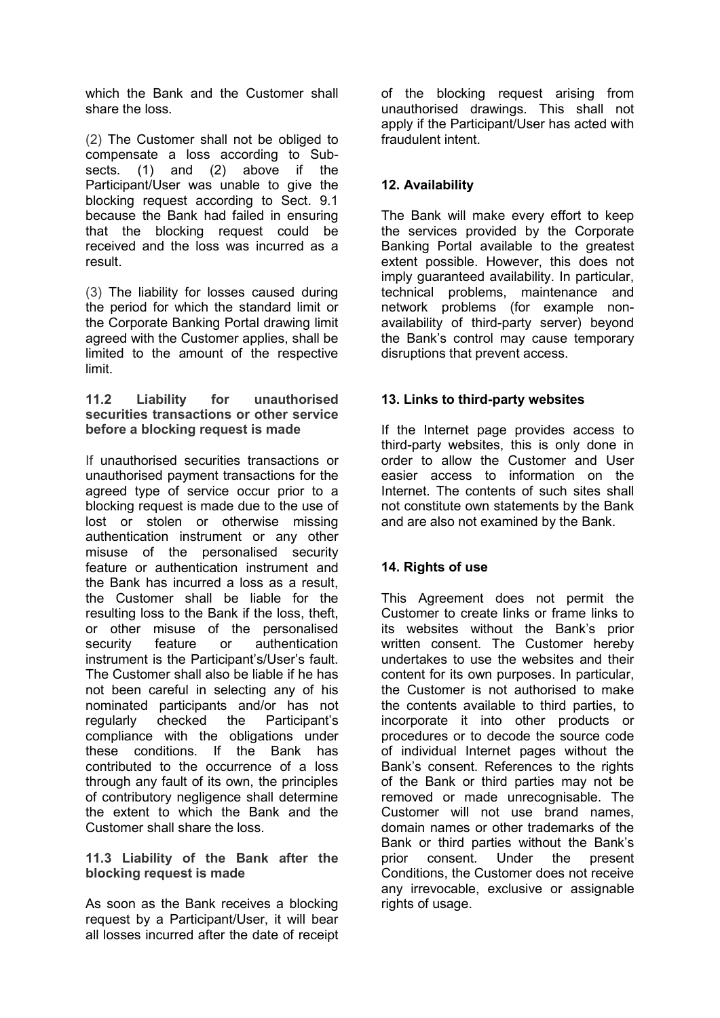which the Bank and the Customer shall share the loss.

(2) The Customer shall not be obliged to compensate a loss according to Subsects. (1) and (2) above if the Participant/User was unable to give the blocking request according to Sect. 9.1 because the Bank had failed in ensuring that the blocking request could be received and the loss was incurred as a result.

(3) The liability for losses caused during the period for which the standard limit or the Corporate Banking Portal drawing limit agreed with the Customer applies, shall be limited to the amount of the respective limit.

#### **11.2 Liability for unauthorised securities transactions or other service before a blocking request is made**

If unauthorised securities transactions or unauthorised payment transactions for the agreed type of service occur prior to a blocking request is made due to the use of lost or stolen or otherwise missing authentication instrument or any other misuse of the personalised security feature or authentication instrument and the Bank has incurred a loss as a result, the Customer shall be liable for the resulting loss to the Bank if the loss, theft, or other misuse of the personalised security feature or authentication instrument is the Participant's/User's fault. The Customer shall also be liable if he has not been careful in selecting any of his nominated participants and/or has not regularly checked the Participant's compliance with the obligations under these conditions. If the Bank has contributed to the occurrence of a loss through any fault of its own, the principles of contributory negligence shall determine the extent to which the Bank and the Customer shall share the loss.

#### **11.3 Liability of the Bank after the blocking request is made**

As soon as the Bank receives a blocking request by a Participant/User, it will bear all losses incurred after the date of receipt

of the blocking request arising from unauthorised drawings. This shall not apply if the Participant/User has acted with fraudulent intent.

# **12. Availability**

The Bank will make every effort to keep the services provided by the Corporate Banking Portal available to the greatest extent possible. However, this does not imply guaranteed availability. In particular, technical problems, maintenance and network problems (for example nonavailability of third-party server) beyond the Bank's control may cause temporary disruptions that prevent access.

### **13. Links to third-party websites**

If the Internet page provides access to third-party websites, this is only done in order to allow the Customer and User easier access to information on the Internet. The contents of such sites shall not constitute own statements by the Bank and are also not examined by the Bank.

# **14. Rights of use**

This Agreement does not permit the Customer to create links or frame links to its websites without the Bank's prior written consent. The Customer hereby undertakes to use the websites and their content for its own purposes. In particular, the Customer is not authorised to make the contents available to third parties, to incorporate it into other products or procedures or to decode the source code of individual Internet pages without the Bank's consent. References to the rights of the Bank or third parties may not be removed or made unrecognisable. The Customer will not use brand names, domain names or other trademarks of the Bank or third parties without the Bank's prior consent. Under the present Conditions, the Customer does not receive any irrevocable, exclusive or assignable rights of usage.